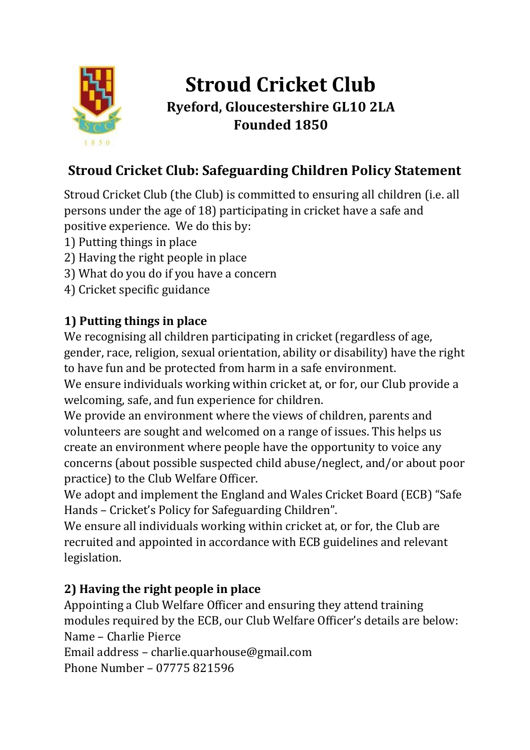

# **Stroud Cricket Club Ryeford, Gloucestershire GL10 2LA Founded 1850**

# **Stroud Cricket Club: Safeguarding Children Policy Statement**

Stroud Cricket Club (the Club) is committed to ensuring all children (i.e. all persons under the age of 18) participating in cricket have a safe and positive experience. We do this by:

- 1) Putting things in place
- 2) Having the right people in place
- 3) What do you do if you have a concern
- 4) Cricket specific guidance

## **1) Putting things in place**

We recognising all children participating in cricket (regardless of age, gender, race, religion, sexual orientation, ability or disability) have the right to have fun and be protected from harm in a safe environment.

We ensure individuals working within cricket at, or for, our Club provide a welcoming, safe, and fun experience for children.

We provide an environment where the views of children, parents and volunteers are sought and welcomed on a range of issues. This helps us create an environment where people have the opportunity to voice any concerns (about possible suspected child abuse/neglect, and/or about poor practice) to the Club Welfare Officer.

We adopt and implement the England and Wales Cricket Board (ECB) "Safe Hands – Cricket's Policy for Safeguarding Children".

We ensure all individuals working within cricket at, or for, the Club are recruited and appointed in accordance with ECB guidelines and relevant legislation.

### **2) Having the right people in place**

Appointing a Club Welfare Officer and ensuring they attend training modules required by the ECB, our Club Welfare Officer's details are below: Name – Charlie Pierce

Email address – charlie.quarhouse@gmail.com

Phone Number – 07775 821596